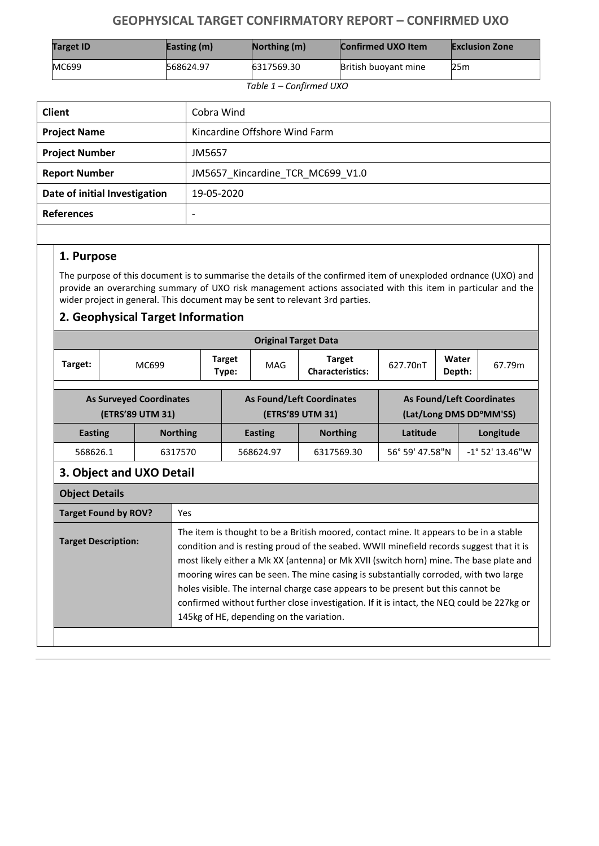## **GEOPHYSICAL TARGET CONFIRMATORY REPORT – CONFIRMED UXO**

| <b>Target ID</b> | Easting $(m)$ | $\sqrt{\text{Notbing}}$ (m) | <b>Confirmed UXO Item</b> | <b>Exclusion Zone</b> |
|------------------|---------------|-----------------------------|---------------------------|-----------------------|
| <b>MC699</b>     | 568624.97     | 6317569.30                  | British buoyant mine      | 25m                   |

 *Table 1 – Confirmed UXO*

| <b>Client</b>                 | Cobra Wind                       |  |  |
|-------------------------------|----------------------------------|--|--|
| <b>Project Name</b>           | Kincardine Offshore Wind Farm    |  |  |
| <b>Project Number</b>         | JM5657                           |  |  |
| <b>Report Number</b>          | JM5657 Kincardine TCR MC699 V1.0 |  |  |
| Date of initial Investigation | 19-05-2020                       |  |  |
| <b>References</b>             | $\overline{\phantom{0}}$         |  |  |

## **1. Purpose**

The purpose of this document is to summarise the details of the confirmed item of unexploded ordnance (UXO) and provide an overarching summary of UXO risk management actions associated with this item in particular and the wider project in general. This document may be sent to relevant 3rd parties.

## **2. Geophysical Target Information**

| <b>Original Target Data</b>                                                                                                                                                                                                                                                                                                                                                                                                                                                                                                                                                                                                    |  |                 |                                                      |                        |                |                                                             |                 |                 |                          |
|--------------------------------------------------------------------------------------------------------------------------------------------------------------------------------------------------------------------------------------------------------------------------------------------------------------------------------------------------------------------------------------------------------------------------------------------------------------------------------------------------------------------------------------------------------------------------------------------------------------------------------|--|-----------------|------------------------------------------------------|------------------------|----------------|-------------------------------------------------------------|-----------------|-----------------|--------------------------|
| Target:                                                                                                                                                                                                                                                                                                                                                                                                                                                                                                                                                                                                                        |  | MC699           |                                                      | <b>Target</b><br>Type: | MAG            | <b>Target</b><br><b>Characteristics:</b>                    | 627.70nT        | Water<br>Depth: | 67.79m                   |
| <b>As Surveyed Coordinates</b><br>(ETRS'89 UTM 31)                                                                                                                                                                                                                                                                                                                                                                                                                                                                                                                                                                             |  |                 | <b>As Found/Left Coordinates</b><br>(ETRS'89 UTM 31) |                        |                | <b>As Found/Left Coordinates</b><br>(Lat/Long DMS DD°MM'SS) |                 |                 |                          |
| <b>Easting</b>                                                                                                                                                                                                                                                                                                                                                                                                                                                                                                                                                                                                                 |  | <b>Northing</b> |                                                      |                        | <b>Easting</b> | <b>Northing</b>                                             | Latitude        |                 | Longitude                |
| 568626.1                                                                                                                                                                                                                                                                                                                                                                                                                                                                                                                                                                                                                       |  | 6317570         |                                                      |                        | 568624.97      | 6317569.30                                                  | 56° 59' 47.58"N |                 | $-1^{\circ}$ 52' 13.46"W |
| 3. Object and UXO Detail                                                                                                                                                                                                                                                                                                                                                                                                                                                                                                                                                                                                       |  |                 |                                                      |                        |                |                                                             |                 |                 |                          |
| <b>Object Details</b>                                                                                                                                                                                                                                                                                                                                                                                                                                                                                                                                                                                                          |  |                 |                                                      |                        |                |                                                             |                 |                 |                          |
| <b>Target Found by ROV?</b><br>Yes                                                                                                                                                                                                                                                                                                                                                                                                                                                                                                                                                                                             |  |                 |                                                      |                        |                |                                                             |                 |                 |                          |
| The item is thought to be a British moored, contact mine. It appears to be in a stable<br><b>Target Description:</b><br>condition and is resting proud of the seabed. WWII minefield records suggest that it is<br>most likely either a Mk XX (antenna) or Mk XVII (switch horn) mine. The base plate and<br>mooring wires can be seen. The mine casing is substantially corroded, with two large<br>holes visible. The internal charge case appears to be present but this cannot be<br>confirmed without further close investigation. If it is intact, the NEQ could be 227kg or<br>145kg of HE, depending on the variation. |  |                 |                                                      |                        |                |                                                             |                 |                 |                          |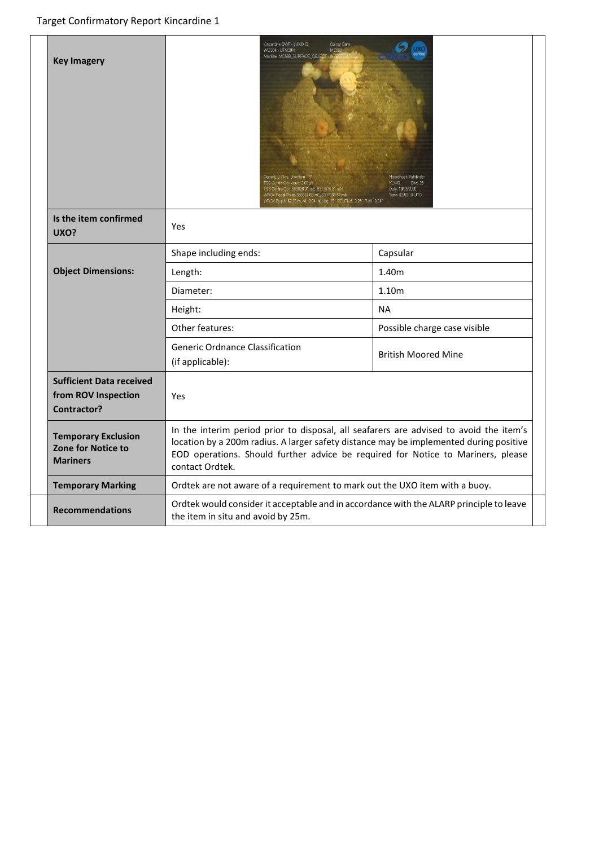| <b>Key Imagery</b>                                                           | Kincardine OVYF - pUXO ID<br>Colour Cam<br>WGS84 - UTM3DN<br>Mainline. MCB99_SURFACE_CIBJE<br>Current: 0.7 kts. Direction: 13<br>TSS Centre Coil value: 2.00 µV<br>.<br>"SS Centre Coil: 568628.01 mE, 6317575.31 mN<br>:VROV Focal Point: 568624.60 mE, 6317589.57 mN<br>//ROV Depth: 67.79 m, Alt. 0.84 m, Hdg. 191.89", Pitch: 3.26", Roll: -0.84" | <b>Voordhoek Pathfinder</b><br>Dive 25<br>XI X49<br>Date: 19/05/2020<br>Time: 03:56:18 UTC |  |  |  |
|------------------------------------------------------------------------------|-------------------------------------------------------------------------------------------------------------------------------------------------------------------------------------------------------------------------------------------------------------------------------------------------------------------------------------------------------|--------------------------------------------------------------------------------------------|--|--|--|
| Is the item confirmed<br>UXO?                                                | <b>Yes</b>                                                                                                                                                                                                                                                                                                                                            |                                                                                            |  |  |  |
|                                                                              | Shape including ends:                                                                                                                                                                                                                                                                                                                                 | Capsular                                                                                   |  |  |  |
| <b>Object Dimensions:</b>                                                    | Length:                                                                                                                                                                                                                                                                                                                                               | 1.40m                                                                                      |  |  |  |
|                                                                              | Diameter:                                                                                                                                                                                                                                                                                                                                             | 1.10m                                                                                      |  |  |  |
|                                                                              | Height:                                                                                                                                                                                                                                                                                                                                               | <b>NA</b>                                                                                  |  |  |  |
|                                                                              | Other features:                                                                                                                                                                                                                                                                                                                                       | Possible charge case visible                                                               |  |  |  |
|                                                                              | <b>Generic Ordnance Classification</b><br>(if applicable):                                                                                                                                                                                                                                                                                            | <b>British Moored Mine</b>                                                                 |  |  |  |
| <b>Sufficient Data received</b><br>from ROV Inspection<br><b>Contractor?</b> | Yes                                                                                                                                                                                                                                                                                                                                                   |                                                                                            |  |  |  |
| <b>Temporary Exclusion</b><br>Zone for Notice to<br><b>Mariners</b>          | In the interim period prior to disposal, all seafarers are advised to avoid the item's<br>location by a 200m radius. A larger safety distance may be implemented during positive<br>EOD operations. Should further advice be required for Notice to Mariners, please<br>contact Ordtek.                                                               |                                                                                            |  |  |  |
| <b>Temporary Marking</b>                                                     | Ordtek are not aware of a requirement to mark out the UXO item with a buoy.                                                                                                                                                                                                                                                                           |                                                                                            |  |  |  |
| <b>Recommendations</b>                                                       | Ordtek would consider it acceptable and in accordance with the ALARP principle to leave<br>the item in situ and avoid by 25m.                                                                                                                                                                                                                         |                                                                                            |  |  |  |